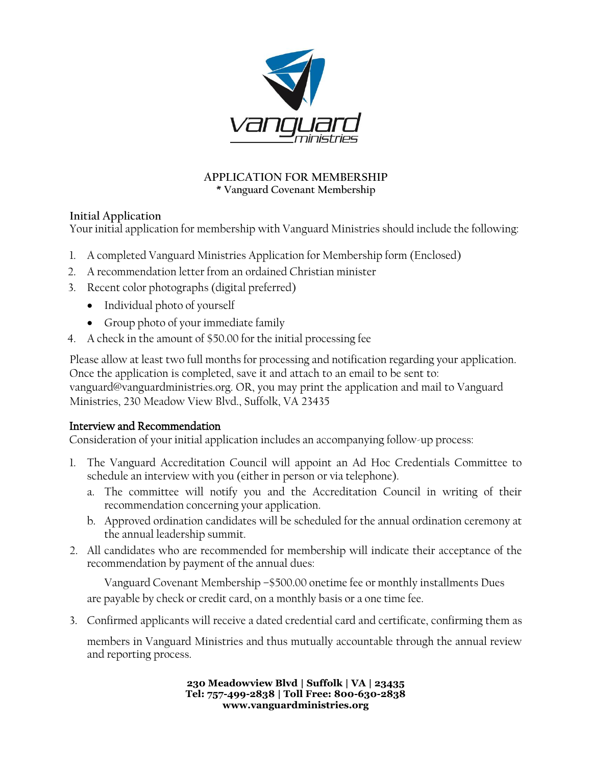

### **APPLICATION FOR MEMBERSHIP \* Vanguard Covenant Membership**

# **Initial Application**

Your initial application for membership with Vanguard Ministries should include the following:

- 1. A completed Vanguard Ministries Application for Membership form (Enclosed)
- 2. A recommendation letter from an ordained Christian minister
- 3. Recent color photographs (digital preferred)
	- Individual photo of yourself
	- Group photo of your immediate family
- 4. A check in the amount of \$50.00 for the initial processing fee

Please allow at least two full months for processing and notification regarding your application. Once the application is completed, save it and attach to an email to be sent to: vanguard@vanguardministries.org. OR, you may print the application and mail to Vanguard Ministries, 230 Meadow View Blvd., Suffolk, VA 23435

## Interview and Recommendation

Consideration of your initial application includes an accompanying follow-up process:

- 1. The Vanguard Accreditation Council will appoint an Ad Hoc Credentials Committee to schedule an interview with you (either in person or via telephone).
	- a. The committee will notify you and the Accreditation Council in writing of their recommendation concerning your application.
	- b. Approved ordination candidates will be scheduled for the annual ordination ceremony at the annual leadership summit.
- 2. All candidates who are recommended for membership will indicate their acceptance of the recommendation by payment of the annual dues:

Vanguard Covenant Membership –\$500.00 onetime fee or monthly installments Dues are payable by check or credit card, on a monthly basis or a one time fee.

3. Confirmed applicants will receive a dated credential card and certificate, confirming them as

members in Vanguard Ministries and thus mutually accountable through the annual review and reporting process.

> **230 Meadowview Blvd | Suffolk | VA | 23435 Tel: 757-499-2838 | Toll Free: 800-630-2838 www.vanguardministries.org**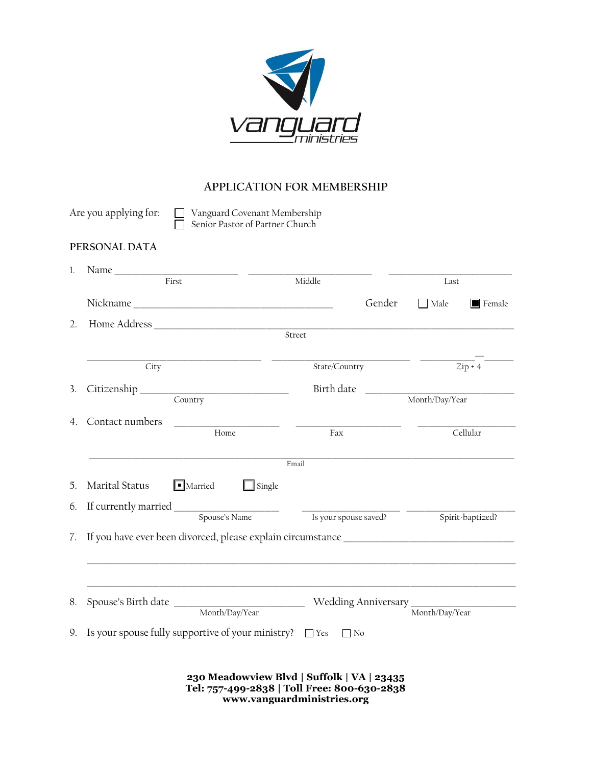

# **APPLICATION FOR MEMBERSHIP**

|    | Are you applying for:                                                                                                                                                                                                                                                                                                                                                                                                                                              | Vanguard Covenant Membership<br>Senior Pastor of Partner Church |                                                                                           |           |                                                                                                                                        |                       |  |
|----|--------------------------------------------------------------------------------------------------------------------------------------------------------------------------------------------------------------------------------------------------------------------------------------------------------------------------------------------------------------------------------------------------------------------------------------------------------------------|-----------------------------------------------------------------|-------------------------------------------------------------------------------------------|-----------|----------------------------------------------------------------------------------------------------------------------------------------|-----------------------|--|
|    | PERSONAL DATA                                                                                                                                                                                                                                                                                                                                                                                                                                                      |                                                                 |                                                                                           |           |                                                                                                                                        |                       |  |
| 1. |                                                                                                                                                                                                                                                                                                                                                                                                                                                                    | First                                                           | Middle                                                                                    |           | Last                                                                                                                                   |                       |  |
|    |                                                                                                                                                                                                                                                                                                                                                                                                                                                                    |                                                                 |                                                                                           | Gender    | $\Box$ Male                                                                                                                            | $\blacksquare$ Female |  |
| 2. |                                                                                                                                                                                                                                                                                                                                                                                                                                                                    | Home Address and the Address                                    | Street                                                                                    |           |                                                                                                                                        |                       |  |
|    | City                                                                                                                                                                                                                                                                                                                                                                                                                                                               |                                                                 | State/Country                                                                             |           |                                                                                                                                        | $\overline{Zip+4}$    |  |
| 3. |                                                                                                                                                                                                                                                                                                                                                                                                                                                                    | Citizenship Country                                             | Birth date                                                                                |           | <u> 1989 - Johann John Stein, markin fan it ferstjer fan it ferstjer fan it ferstjer fan it ferstjer fan it fers</u><br>Month/Day/Year |                       |  |
| 4. | Contact numbers                                                                                                                                                                                                                                                                                                                                                                                                                                                    | Home                                                            | Fax                                                                                       |           |                                                                                                                                        | Cellular              |  |
|    |                                                                                                                                                                                                                                                                                                                                                                                                                                                                    |                                                                 | Email                                                                                     |           |                                                                                                                                        |                       |  |
| 5. | Marital Status                                                                                                                                                                                                                                                                                                                                                                                                                                                     | $\blacksquare$ Married<br>$\Box$ Single                         |                                                                                           |           |                                                                                                                                        |                       |  |
| 6. |                                                                                                                                                                                                                                                                                                                                                                                                                                                                    |                                                                 |                                                                                           |           |                                                                                                                                        |                       |  |
| 7. | If currently married $\frac{1}{\sqrt{1-\frac{1}{1-\frac{1}{1-\frac{1}{1-\frac{1}{1-\frac{1}{1-\frac{1}{1-\frac{1}{1-\frac{1}{1-\frac{1}{1-\frac{1}{1-\frac{1}{1-\frac{1}{1-\frac{1}{1-\frac{1}{1-\frac{1}{1-\frac{1}{1-\frac{1}{1-\frac{1}{1-\frac{1}{1-\frac{1}{1-\frac{1}{1-\frac{1}{1-\frac{1}{1-\frac{1}{1-\frac{1}{1-\frac{1}{1-\frac{1}{1-\frac{1}{1-\frac{1}{1-\frac{1}{1-\frac{1}{1-\frac{1$<br>Is your spouse saved?<br>Spouse's Name<br>Spirit-baptized? |                                                                 |                                                                                           |           |                                                                                                                                        |                       |  |
| 8. |                                                                                                                                                                                                                                                                                                                                                                                                                                                                    | Month/Day/Year                                                  |                                                                                           |           | Month/Day/Year                                                                                                                         |                       |  |
| 9. |                                                                                                                                                                                                                                                                                                                                                                                                                                                                    | Is your spouse fully supportive of your ministry? $\Box$ Yes    |                                                                                           | $\Box$ No |                                                                                                                                        |                       |  |
|    |                                                                                                                                                                                                                                                                                                                                                                                                                                                                    |                                                                 | 230 Meadowview Blvd   Suffolk   VA   23435<br>Tel: 757-499-2838   Toll Free: 800-630-2838 |           |                                                                                                                                        |                       |  |

**www.vanguardministries.org**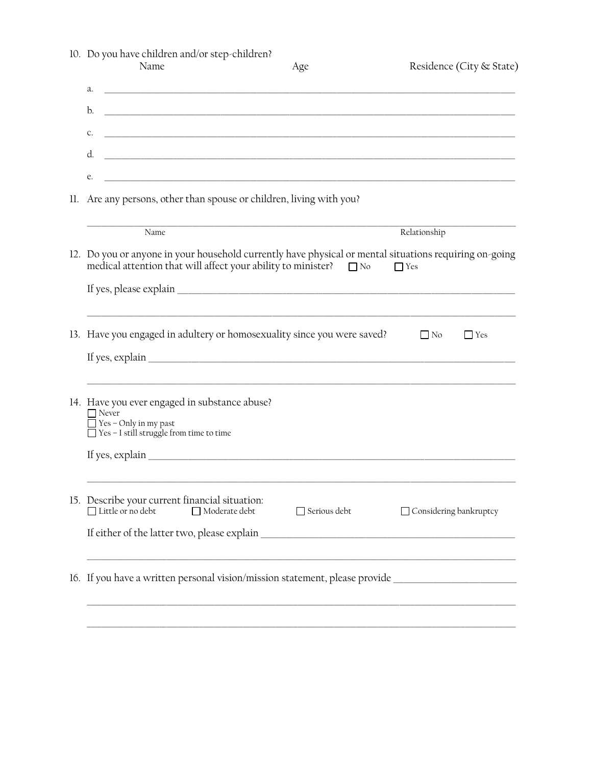| 10. Do you have children and/or step-children?<br>Name                                                                                           | Age                                                                                                                                                                                         | Residence (City & State) |  |  |  |  |  |  |
|--------------------------------------------------------------------------------------------------------------------------------------------------|---------------------------------------------------------------------------------------------------------------------------------------------------------------------------------------------|--------------------------|--|--|--|--|--|--|
| а.                                                                                                                                               |                                                                                                                                                                                             |                          |  |  |  |  |  |  |
| b.<br><u> 1989 - Johann Stoff, deutscher Stoff, der Stoff, der Stoff, der Stoff, der Stoff, der Stoff, der Stoff, der S</u>                      |                                                                                                                                                                                             |                          |  |  |  |  |  |  |
| C.                                                                                                                                               |                                                                                                                                                                                             |                          |  |  |  |  |  |  |
| d.<br><u> 1989 - Johann Stoff, deutscher Stoff, der Stoff, der Stoff, der Stoff, der Stoff, der Stoff, der Stoff, der S</u>                      |                                                                                                                                                                                             |                          |  |  |  |  |  |  |
| <u> 1989 - Johann Stoff, deutscher Stoff, der Stoff, der Stoff, der Stoff, der Stoff, der Stoff, der Stoff, der S</u><br>e.                      |                                                                                                                                                                                             |                          |  |  |  |  |  |  |
| 11. Are any persons, other than spouse or children, living with you?                                                                             |                                                                                                                                                                                             |                          |  |  |  |  |  |  |
| Name                                                                                                                                             |                                                                                                                                                                                             | Relationship             |  |  |  |  |  |  |
|                                                                                                                                                  | 12. Do you or anyone in your household currently have physical or mental situations requiring on-going<br>medical attention that will affect your ability to minister? □ No<br>$\Gamma$ Yes |                          |  |  |  |  |  |  |
|                                                                                                                                                  |                                                                                                                                                                                             |                          |  |  |  |  |  |  |
| 13. Have you engaged in adultery or homosexuality since you were saved?                                                                          |                                                                                                                                                                                             | $\Box$ No<br>Yes         |  |  |  |  |  |  |
| If yes, explain $\_\_$                                                                                                                           |                                                                                                                                                                                             |                          |  |  |  |  |  |  |
| 14. Have you ever engaged in substance abuse?<br>$\Box$ Never<br>$\Box$ Yes - Only in my past<br>$\Box$ Yes - I still struggle from time to time |                                                                                                                                                                                             |                          |  |  |  |  |  |  |
|                                                                                                                                                  |                                                                                                                                                                                             |                          |  |  |  |  |  |  |
| 15. Describe your current financial situation:<br>$\Box$ Little or no debt<br>Moderate debt                                                      | $\Box$ Serious debt                                                                                                                                                                         | □ Considering bankruptcy |  |  |  |  |  |  |
|                                                                                                                                                  |                                                                                                                                                                                             |                          |  |  |  |  |  |  |
| 16. If you have a written personal vision/mission statement, please provide                                                                      |                                                                                                                                                                                             |                          |  |  |  |  |  |  |
|                                                                                                                                                  |                                                                                                                                                                                             |                          |  |  |  |  |  |  |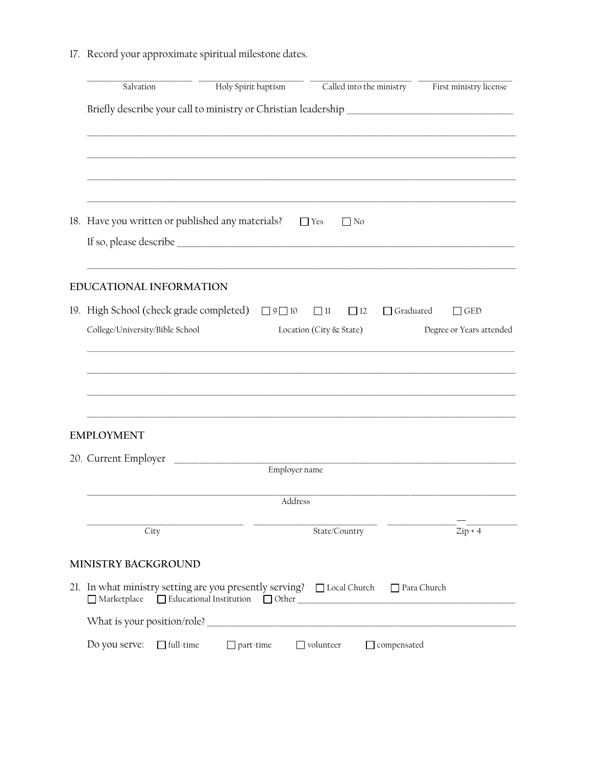17. Record your approximate spiritual milestone dates.

| Salvation                                                                                      | Holy Spirit baptism | Called into the ministry |                    | First ministry license |  |  |  |
|------------------------------------------------------------------------------------------------|---------------------|--------------------------|--------------------|------------------------|--|--|--|
|                                                                                                |                     |                          |                    |                        |  |  |  |
|                                                                                                |                     |                          |                    |                        |  |  |  |
|                                                                                                |                     |                          |                    |                        |  |  |  |
|                                                                                                |                     |                          |                    |                        |  |  |  |
| 18. Have you written or published any materials?                                               |                     | $\Box$ Yes<br>$\Box$ No  |                    |                        |  |  |  |
|                                                                                                |                     |                          |                    |                        |  |  |  |
| <b>EDUCATIONAL INFORMATION</b>                                                                 |                     |                          |                    |                        |  |  |  |
| 19. High School (check grade completed)                                                        | $\Box$ 9 $\Box$ 10  | $\Box$ 11<br>$\Box$ 12   | $\Box$ Graduated   | $\Box$ GED             |  |  |  |
| College/University/Bible School<br>Degree or Years attended<br>Location (City & State)         |                     |                          |                    |                        |  |  |  |
|                                                                                                |                     |                          |                    |                        |  |  |  |
|                                                                                                |                     |                          |                    |                        |  |  |  |
|                                                                                                |                     |                          |                    |                        |  |  |  |
| <b>EMPLOYMENT</b>                                                                              |                     |                          |                    |                        |  |  |  |
| 20. Current Employer                                                                           |                     |                          |                    |                        |  |  |  |
|                                                                                                |                     | Employer name            |                    |                        |  |  |  |
|                                                                                                |                     | Address                  |                    |                        |  |  |  |
| City                                                                                           |                     | State/Country            |                    | $Zip + 4$              |  |  |  |
| MINISTRY BACKGROUND                                                                            |                     |                          |                    |                        |  |  |  |
| 21. In what ministry setting are you presently serving? $\Box$ Local Church $\Box$ Para Church |                     |                          |                    |                        |  |  |  |
|                                                                                                |                     |                          |                    |                        |  |  |  |
| Do you serve:<br>$\Box$ full-time                                                              | $\Box$ part-time    | $\Box$ volunteer         | $\Box$ compensated |                        |  |  |  |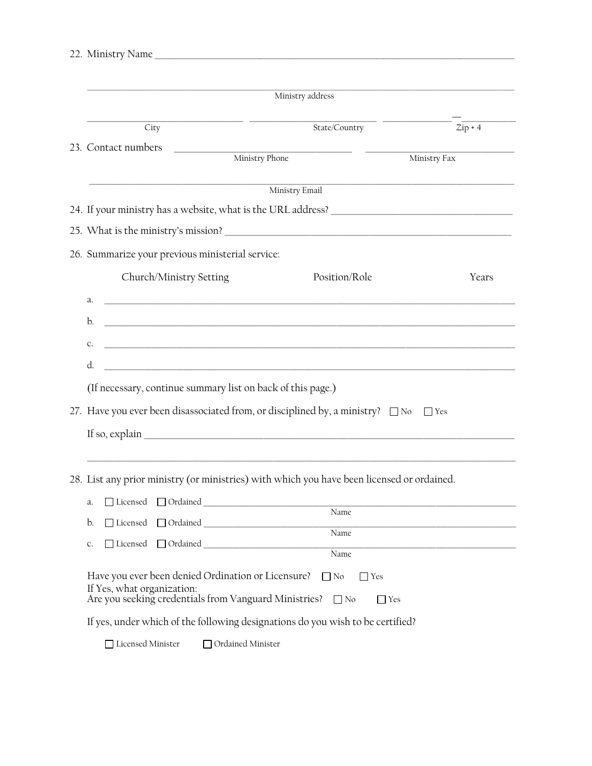| 22. Ministry Name |  |
|-------------------|--|
|                   |  |

|                            |                                                                                                                                                                                                                                     | Ministry address                                   |                      |  |  |  |  |  |
|----------------------------|-------------------------------------------------------------------------------------------------------------------------------------------------------------------------------------------------------------------------------------|----------------------------------------------------|----------------------|--|--|--|--|--|
| City                       |                                                                                                                                                                                                                                     | State/Country                                      | $\overline{Zip + 4}$ |  |  |  |  |  |
| 23. Contact numbers        | Ministry Phone                                                                                                                                                                                                                      |                                                    | Ministry Fax         |  |  |  |  |  |
|                            |                                                                                                                                                                                                                                     | Ministry Email                                     |                      |  |  |  |  |  |
|                            |                                                                                                                                                                                                                                     |                                                    |                      |  |  |  |  |  |
|                            |                                                                                                                                                                                                                                     |                                                    |                      |  |  |  |  |  |
|                            | 26. Summarize your previous ministerial service:                                                                                                                                                                                    |                                                    |                      |  |  |  |  |  |
|                            | Church/Ministry Setting                                                                                                                                                                                                             | Position/Role                                      | Years                |  |  |  |  |  |
| a.                         | <u> La componenta de la componenta de la componenta de la componenta de la componenta de la componenta de la comp</u>                                                                                                               |                                                    |                      |  |  |  |  |  |
| b.                         | <u> 1989 - Johann Stoff, deutscher Stoff, der Stoff, deutscher Stoff, der Stoff, der Stoff, der Stoff, der Stoff</u>                                                                                                                |                                                    |                      |  |  |  |  |  |
| c.                         | <u> 2000 - Jan Barat de San Barat de San Barat de San Barat de San Barat de San Barat de San Barat de San Barat d</u>                                                                                                               |                                                    |                      |  |  |  |  |  |
| d.                         |                                                                                                                                                                                                                                     |                                                    |                      |  |  |  |  |  |
|                            | <u> 1989 - Johann Harry Barn, mars and deur de Branch and de Branch and de Branch and de Branch and de Branch an</u>                                                                                                                |                                                    |                      |  |  |  |  |  |
|                            | (If necessary, continue summary list on back of this page.)                                                                                                                                                                         |                                                    |                      |  |  |  |  |  |
|                            | 27. Have you ever been disassociated from, or disciplined by, a ministry? $\Box$ No $\Box$ Yes                                                                                                                                      |                                                    |                      |  |  |  |  |  |
|                            | If so, explain $\frac{1}{\sqrt{1-\frac{1}{2}}\left(\frac{1}{2}-\frac{1}{2}\right)}$                                                                                                                                                 |                                                    |                      |  |  |  |  |  |
|                            | 28. List any prior ministry (or ministries) with which you have been licensed or ordained.                                                                                                                                          |                                                    |                      |  |  |  |  |  |
| a.                         | □ Licensed □ Ordained <u>University and Taures and Taures and Taures and Taures and Taures and Taures and Taures and Taures and Taures and Taures and Taures and Taures and Taures and Taures and Taures and Taures and Taures </u> |                                                    |                      |  |  |  |  |  |
| b.<br>□ Licensed           |                                                                                                                                                                                                                                     | Name                                               |                      |  |  |  |  |  |
| □ Licensed<br>C.           | Ordained Communications                                                                                                                                                                                                             | Name                                               |                      |  |  |  |  |  |
|                            |                                                                                                                                                                                                                                     | Name                                               |                      |  |  |  |  |  |
| If Yes, what organization: | Have you ever been denied Ordination or Licensure?<br>Are you seeking credentials from Vanguard Ministries?                                                                                                                         | $\Box$ No<br>$\Box$ Yes<br>$\Box$ No<br>$\Box$ Yes |                      |  |  |  |  |  |
|                            | If yes, under which of the following designations do you wish to be certified?                                                                                                                                                      |                                                    |                      |  |  |  |  |  |

□ Licensed Minister □ Ordained Minister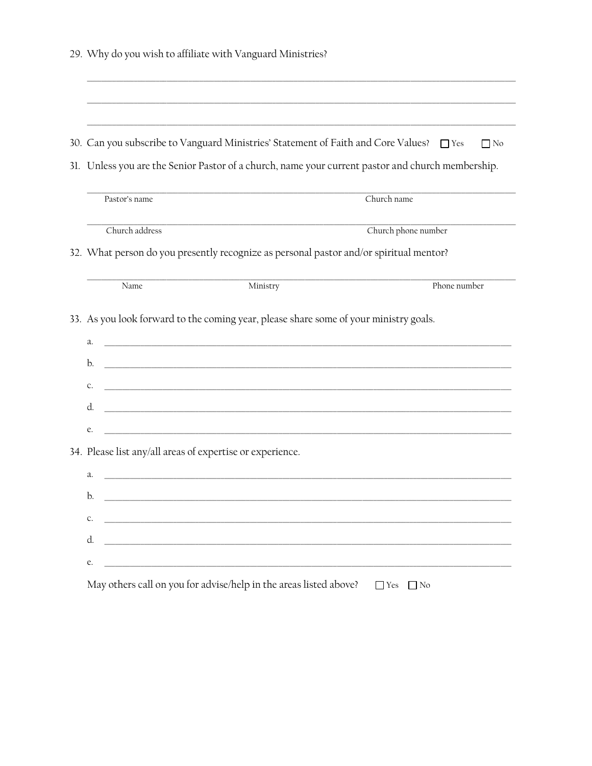|  |  |  |  |  |  |  |  |  |  | 29. Why do you wish to affiliate with Vanguard Ministries? |  |
|--|--|--|--|--|--|--|--|--|--|------------------------------------------------------------|--|
|--|--|--|--|--|--|--|--|--|--|------------------------------------------------------------|--|

30. Can you subscribe to Vanguard Ministries' Statement of Faith and Core Values? 
<sub>[188]</sub> Yes  $\hfill\Box$  <br> No

31. Unless you are the Senior Pastor of a church, name your current pastor and church membership.

| Pastor's name                                                                          |          | Church name                                                                                                                                                                                                                                                                                                                                                                                                                                                                                                                                                                                                                                                                                                                                                                                                                                                                                                                                                                                                                    |  |  |  |  |
|----------------------------------------------------------------------------------------|----------|--------------------------------------------------------------------------------------------------------------------------------------------------------------------------------------------------------------------------------------------------------------------------------------------------------------------------------------------------------------------------------------------------------------------------------------------------------------------------------------------------------------------------------------------------------------------------------------------------------------------------------------------------------------------------------------------------------------------------------------------------------------------------------------------------------------------------------------------------------------------------------------------------------------------------------------------------------------------------------------------------------------------------------|--|--|--|--|
| Church address                                                                         |          | Church phone number                                                                                                                                                                                                                                                                                                                                                                                                                                                                                                                                                                                                                                                                                                                                                                                                                                                                                                                                                                                                            |  |  |  |  |
| 32. What person do you presently recognize as personal pastor and/or spiritual mentor? |          |                                                                                                                                                                                                                                                                                                                                                                                                                                                                                                                                                                                                                                                                                                                                                                                                                                                                                                                                                                                                                                |  |  |  |  |
| Name                                                                                   | Ministry | Phone number                                                                                                                                                                                                                                                                                                                                                                                                                                                                                                                                                                                                                                                                                                                                                                                                                                                                                                                                                                                                                   |  |  |  |  |
|                                                                                        |          |                                                                                                                                                                                                                                                                                                                                                                                                                                                                                                                                                                                                                                                                                                                                                                                                                                                                                                                                                                                                                                |  |  |  |  |
|                                                                                        |          |                                                                                                                                                                                                                                                                                                                                                                                                                                                                                                                                                                                                                                                                                                                                                                                                                                                                                                                                                                                                                                |  |  |  |  |
|                                                                                        |          |                                                                                                                                                                                                                                                                                                                                                                                                                                                                                                                                                                                                                                                                                                                                                                                                                                                                                                                                                                                                                                |  |  |  |  |
|                                                                                        |          |                                                                                                                                                                                                                                                                                                                                                                                                                                                                                                                                                                                                                                                                                                                                                                                                                                                                                                                                                                                                                                |  |  |  |  |
|                                                                                        |          |                                                                                                                                                                                                                                                                                                                                                                                                                                                                                                                                                                                                                                                                                                                                                                                                                                                                                                                                                                                                                                |  |  |  |  |
|                                                                                        |          |                                                                                                                                                                                                                                                                                                                                                                                                                                                                                                                                                                                                                                                                                                                                                                                                                                                                                                                                                                                                                                |  |  |  |  |
|                                                                                        |          |                                                                                                                                                                                                                                                                                                                                                                                                                                                                                                                                                                                                                                                                                                                                                                                                                                                                                                                                                                                                                                |  |  |  |  |
|                                                                                        |          |                                                                                                                                                                                                                                                                                                                                                                                                                                                                                                                                                                                                                                                                                                                                                                                                                                                                                                                                                                                                                                |  |  |  |  |
|                                                                                        |          |                                                                                                                                                                                                                                                                                                                                                                                                                                                                                                                                                                                                                                                                                                                                                                                                                                                                                                                                                                                                                                |  |  |  |  |
|                                                                                        |          |                                                                                                                                                                                                                                                                                                                                                                                                                                                                                                                                                                                                                                                                                                                                                                                                                                                                                                                                                                                                                                |  |  |  |  |
|                                                                                        |          |                                                                                                                                                                                                                                                                                                                                                                                                                                                                                                                                                                                                                                                                                                                                                                                                                                                                                                                                                                                                                                |  |  |  |  |
|                                                                                        |          |                                                                                                                                                                                                                                                                                                                                                                                                                                                                                                                                                                                                                                                                                                                                                                                                                                                                                                                                                                                                                                |  |  |  |  |
|                                                                                        |          | 33. As you look forward to the coming year, please share some of your ministry goals.<br><u> 1989 - Jan James James James James James James James James James James James James James James James James J</u><br><u> 1989 - Johann John Harry Harry Harry Harry Harry Harry Harry Harry Harry Harry Harry Harry Harry Harry Harry H</u><br><u> 1989 - Johann John Stone, mension bernard bernard bernard besteht der statistike besteht der statistike bes</u><br><u> 1989 - Johann Stoff, deutscher Stoff, der Stoff, der Stoff, der Stoff, der Stoff, der Stoff, der Stoff, der S</u><br><u> 1989 - Johann Stoff, deutscher Stoff, der Stoff, der Stoff, der Stoff, der Stoff, der Stoff, der Stoff, der S</u><br>34. Please list any/all areas of expertise or experience.<br><u> 1989 - Johann Stein, marwolaethau a bhann an t-Amhain ann an t-Amhain an t-Amhain an t-Amhain an t-Amhain an </u><br><u> Alexandro de la contrada de la contrada de la contrada de la contrada de la contrada de la contrada de la co</u> |  |  |  |  |